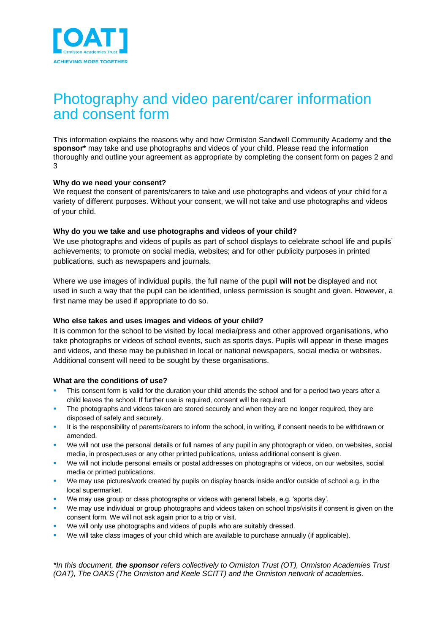

# Photography and video parent/carer information and consent form

This information explains the reasons why and how Ormiston Sandwell Community Academy and **the sponsor\*** may take and use photographs and videos of your child. Please read the information thoroughly and outline your agreement as appropriate by completing the consent form on pages 2 and 3

## **Why do we need your consent?**

We request the consent of parents/carers to take and use photographs and videos of your child for a variety of different purposes. Without your consent, we will not take and use photographs and videos of your child.

## **Why do you we take and use photographs and videos of your child?**

We use photographs and videos of pupils as part of school displays to celebrate school life and pupils' achievements; to promote on social media, websites; and for other publicity purposes in printed publications, such as newspapers and journals.

Where we use images of individual pupils, the full name of the pupil **will not** be displayed and not used in such a way that the pupil can be identified, unless permission is sought and given. However, a first name may be used if appropriate to do so.

## **Who else takes and uses images and videos of your child?**

It is common for the school to be visited by local media/press and other approved organisations, who take photographs or videos of school events, such as sports days. Pupils will appear in these images and videos, and these may be published in local or national newspapers, social media or websites. Additional consent will need to be sought by these organisations.

#### **What are the conditions of use?**

- This consent form is valid for the duration your child attends the school and for a period two years after a child leaves the school. If further use is required, consent will be required.
- The photographs and videos taken are stored securely and when they are no longer required, they are disposed of safely and securely.
- It is the responsibility of parents/carers to inform the school, in writing, if consent needs to be withdrawn or amended.
- We will not use the personal details or full names of any pupil in any photograph or video, on websites, social media, in prospectuses or any other printed publications, unless additional consent is given.
- We will not include personal emails or postal addresses on photographs or videos, on our websites, social media or printed publications.
- We may use pictures/work created by pupils on display boards inside and/or outside of school e.g. in the local supermarket.
- We may use group or class photographs or videos with general labels, e.g. 'sports day'.
- We may use individual or group photographs and videos taken on school trips/visits if consent is given on the consent form. We will not ask again prior to a trip or visit.
- We will only use photographs and videos of pupils who are suitably dressed.
- We will take class images of your child which are available to purchase annually (if applicable).

*\*In this document, the sponsor refers collectively to Ormiston Trust (OT), Ormiston Academies Trust (OAT), The OAKS (The Ormiston and Keele SCITT) and the Ormiston network of academies.*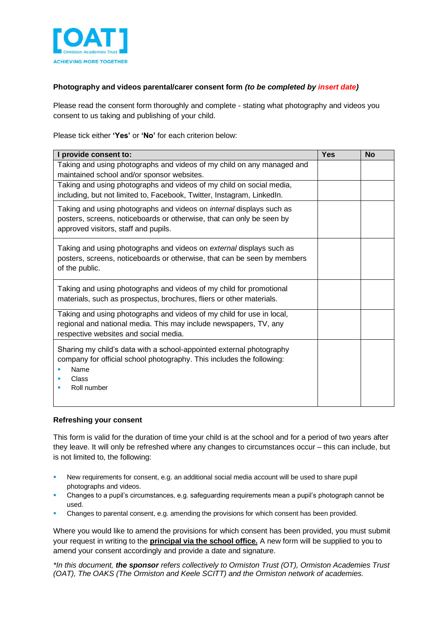

## **Photography and videos parental/carer consent form** *(to be completed by insert date)*

Please read the consent form thoroughly and complete - stating what photography and videos you consent to us taking and publishing of your child.

Please tick either **'Yes'** or **'No'** for each criterion below:

| I provide consent to:                                                                                                                                                                        | <b>Yes</b> | <b>No</b> |
|----------------------------------------------------------------------------------------------------------------------------------------------------------------------------------------------|------------|-----------|
| Taking and using photographs and videos of my child on any managed and<br>maintained school and/or sponsor websites.                                                                         |            |           |
| Taking and using photographs and videos of my child on social media,<br>including, but not limited to, Facebook, Twitter, Instagram, LinkedIn.                                               |            |           |
| Taking and using photographs and videos on <i>internal</i> displays such as<br>posters, screens, noticeboards or otherwise, that can only be seen by<br>approved visitors, staff and pupils. |            |           |
| Taking and using photographs and videos on external displays such as<br>posters, screens, noticeboards or otherwise, that can be seen by members<br>of the public.                           |            |           |
| Taking and using photographs and videos of my child for promotional<br>materials, such as prospectus, brochures, fliers or other materials.                                                  |            |           |
| Taking and using photographs and videos of my child for use in local,<br>regional and national media. This may include newspapers, TV, any<br>respective websites and social media.          |            |           |
| Sharing my child's data with a school-appointed external photography<br>company for official school photography. This includes the following:<br>Name<br>Class<br>Roll number                |            |           |

## **Refreshing your consent**

This form is valid for the duration of time your child is at the school and for a period of two years after they leave. It will only be refreshed where any changes to circumstances occur – this can include, but is not limited to, the following:

- New requirements for consent, e.g. an additional social media account will be used to share pupil photographs and videos.
- Changes to a pupil's circumstances, e.g. safeguarding requirements mean a pupil's photograph cannot be used.
- Changes to parental consent, e.g. amending the provisions for which consent has been provided.

Where you would like to amend the provisions for which consent has been provided, you must submit your request in writing to the **principal via the school office.** A new form will be supplied to you to amend your consent accordingly and provide a date and signature.

*\*In this document, the sponsor refers collectively to Ormiston Trust (OT), Ormiston Academies Trust (OAT), The OAKS (The Ormiston and Keele SCITT) and the Ormiston network of academies.*